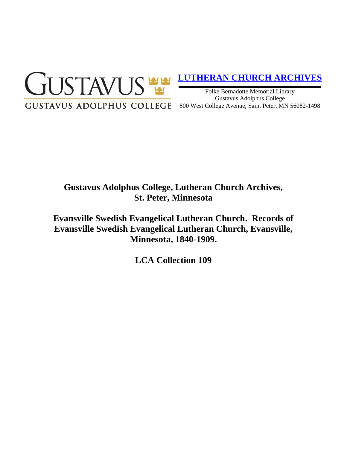

# **[LUTHERAN CHURCH ARCHIVES](http://gustavus.edu/academics/library/archives/)**

Folke Bernadotte Memorial Library Gustavus Adolphus College 800 West College Avenue, Saint Peter, MN 56082-1498

# **Gustavus Adolphus College, Lutheran Church Archives, St. Peter, Minnesota**

**Evansville Swedish Evangelical Lutheran Church. Records of Evansville Swedish Evangelical Lutheran Church, Evansville, Minnesota, 1840-1909.**

**LCA Collection 109**